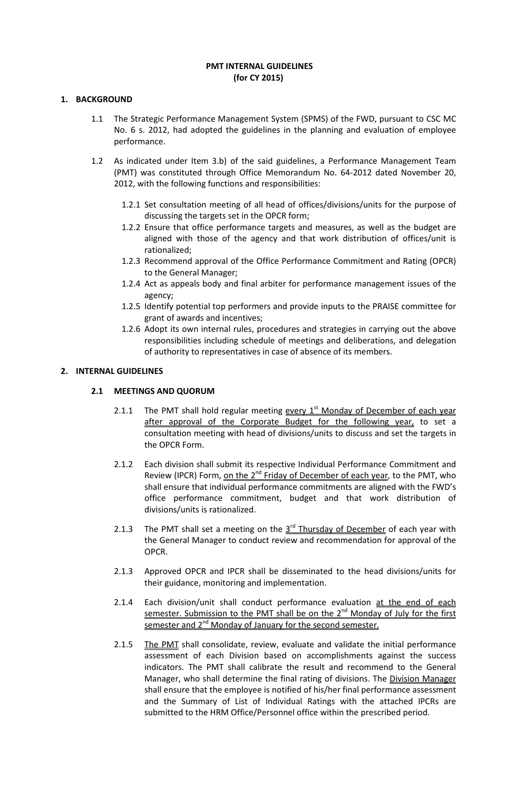#### **PMT INTERNAL GUIDELINES (for CY 2015)**

## **1. BACKGROUND**

- 1.1 The Strategic Performance Management System (SPMS) of the FWD, pursuant to CSC MC No. 6 s. 2012, had adopted the guidelines in the planning and evaluation of employee performance.
- 1.2 As indicated under Item 3.b) of the said guidelines, a Performance Management Team (PMT) was constituted through Office Memorandum No. 64-2012 dated November 20, 2012, with the following functions and responsibilities:
	- 1.2.1 Set consultation meeting of all head of offices/divisions/units for the purpose of discussing the targets set in the OPCR form;
	- 1.2.2 Ensure that office performance targets and measures, as well as the budget are aligned with those of the agency and that work distribution of offices/unit is rationalized;
	- 1.2.3 Recommend approval of the Office Performance Commitment and Rating (OPCR) to the General Manager;
	- 1.2.4 Act as appeals body and final arbiter for performance management issues of the agency;
	- 1.2.5 Identify potential top performers and provide inputs to the PRAISE committee for grant of awards and incentives;
	- 1.2.6 Adopt its own internal rules, procedures and strategies in carrying out the above responsibilities including schedule of meetings and deliberations, and delegation of authority to representatives in case of absence of its members.

## **2. INTERNAL GUIDELINES**

## **2.1 MEETINGS AND QUORUM**

- 2.1.1 The PMT shall hold regular meeting every  $1<sup>st</sup>$  Monday of December of each year after approval of the Corporate Budget for the following year, to set a consultation meeting with head of divisions/units to discuss and set the targets in the OPCR Form.
- 2.1.2 Each division shall submit its respective Individual Performance Commitment and Review (IPCR) Form, on the 2<sup>nd</sup> Friday of December of each year, to the PMT, who shall ensure that individual performance commitments are aligned with the FWD's office performance commitment, budget and that work distribution of divisions/units is rationalized.
- 2.1.3 The PMT shall set a meeting on the  $3<sup>rd</sup>$  Thursday of December of each year with the General Manager to conduct review and recommendation for approval of the OPCR.
- 2.1.3 Approved OPCR and IPCR shall be disseminated to the head divisions/units for their guidance, monitoring and implementation.
- 2.1.4 Each division/unit shall conduct performance evaluation at the end of each semester. Submission to the PMT shall be on the  $2<sup>nd</sup>$  Monday of July for the first semester and 2<sup>nd</sup> Monday of January for the second semester.
- 2.1.5 The PMT shall consolidate, review, evaluate and validate the initial performance assessment of each Division based on accomplishments against the success indicators. The PMT shall calibrate the result and recommend to the General Manager, who shall determine the final rating of divisions. The Division Manager shall ensure that the employee is notified of his/her final performance assessment and the Summary of List of Individual Ratings with the attached IPCRs are submitted to the HRM Office/Personnel office within the prescribed period.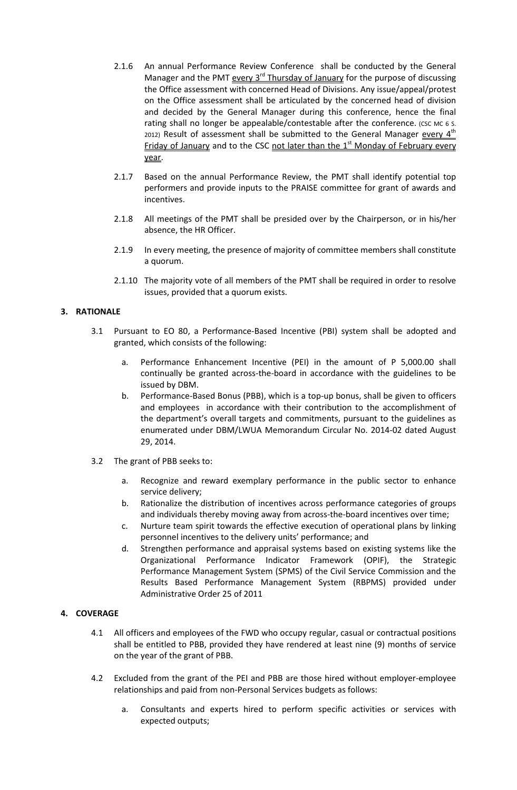- 2.1.6 An annual Performance Review Conference shall be conducted by the General Manager and the PMT every 3<sup>rd</sup> Thursday of January for the purpose of discussing the Office assessment with concerned Head of Divisions. Any issue/appeal/protest on the Office assessment shall be articulated by the concerned head of division and decided by the General Manager during this conference, hence the final rating shall no longer be appealable/contestable after the conference. (CSC MC 6 S. 2012) Result of assessment shall be submitted to the General Manager every  $4^{\text{th}}$ Friday of January and to the CSC not later than the  $1<sup>st</sup>$  Monday of February every year.
- 2.1.7 Based on the annual Performance Review, the PMT shall identify potential top performers and provide inputs to the PRAISE committee for grant of awards and incentives.
- 2.1.8 All meetings of the PMT shall be presided over by the Chairperson, or in his/her absence, the HR Officer.
- 2.1.9 In every meeting, the presence of majority of committee members shall constitute a quorum.
- 2.1.10 The majority vote of all members of the PMT shall be required in order to resolve issues, provided that a quorum exists.

## **3. RATIONALE**

- 3.1 Pursuant to EO 80, a Performance-Based Incentive (PBI) system shall be adopted and granted, which consists of the following:
	- a. Performance Enhancement Incentive (PEI) in the amount of P 5,000.00 shall continually be granted across-the-board in accordance with the guidelines to be issued by DBM.
	- b. Performance-Based Bonus (PBB), which is a top-up bonus, shall be given to officers and employees in accordance with their contribution to the accomplishment of the department's overall targets and commitments, pursuant to the guidelines as enumerated under DBM/LWUA Memorandum Circular No. 2014-02 dated August 29, 2014.
- 3.2 The grant of PBB seeks to:
	- a. Recognize and reward exemplary performance in the public sector to enhance service delivery;
	- b. Rationalize the distribution of incentives across performance categories of groups and individuals thereby moving away from across-the-board incentives over time;
	- c. Nurture team spirit towards the effective execution of operational plans by linking personnel incentives to the delivery units' performance; and
	- d. Strengthen performance and appraisal systems based on existing systems like the Organizational Performance Indicator Framework (OPIF), the Strategic Performance Management System (SPMS) of the Civil Service Commission and the Results Based Performance Management System (RBPMS) provided under Administrative Order 25 of 2011

## **4. COVERAGE**

- 4.1 All officers and employees of the FWD who occupy regular, casual or contractual positions shall be entitled to PBB, provided they have rendered at least nine (9) months of service on the year of the grant of PBB.
- 4.2 Excluded from the grant of the PEI and PBB are those hired without employer-employee relationships and paid from non-Personal Services budgets as follows:
	- a. Consultants and experts hired to perform specific activities or services with expected outputs;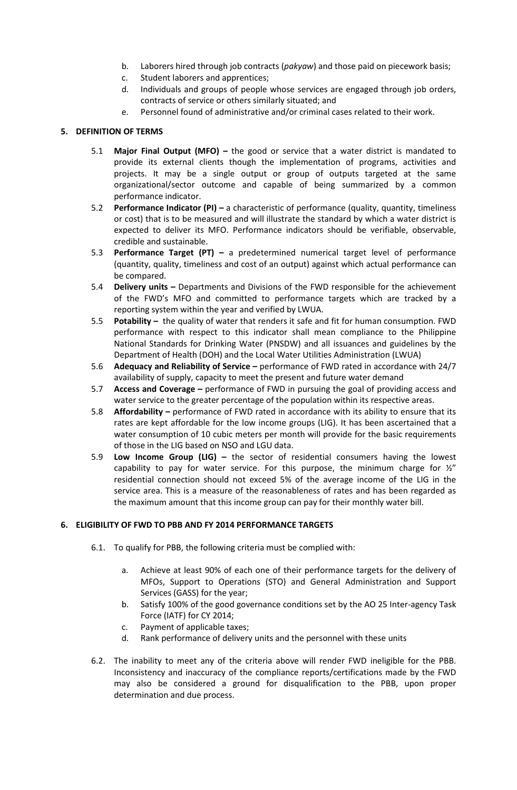- b. Laborers hired through job contracts (*pakyaw*) and those paid on piecework basis;
- c. Student laborers and apprentices;
- d. Individuals and groups of people whose services are engaged through job orders, contracts of service or others similarly situated; and
- e. Personnel found of administrative and/or criminal cases related to their work.

# **5. DEFINITION OF TERMS**

- 5.1 **Major Final Output (MFO)** the good or service that a water district is mandated to provide its external clients though the implementation of programs, activities and projects. It may be a single output or group of outputs targeted at the same organizational/sector outcome and capable of being summarized by a common performance indicator.
- 5.2 **Performance Indicator (PI)** a characteristic of performance (quality, quantity, timeliness or cost) that is to be measured and will illustrate the standard by which a water district is expected to deliver its MFO. Performance indicators should be verifiable, observable, credible and sustainable.
- 5.3 **Performance Target (PT)** a predetermined numerical target level of performance (quantity, quality, timeliness and cost of an output) against which actual performance can be compared.
- 5.4 **Delivery units** Departments and Divisions of the FWD responsible for the achievement of the FWD's MFO and committed to performance targets which are tracked by a reporting system within the year and verified by LWUA.
- 5.5 **Potability** the quality of water that renders it safe and fit for human consumption. FWD performance with respect to this indicator shall mean compliance to the Philippine National Standards for Drinking Water (PNSDW) and all issuances and guidelines by the Department of Health (DOH) and the Local Water Utilities Administration (LWUA)
- 5.6 **Adequacy and Reliability of Service** performance of FWD rated in accordance with 24/7 availability of supply, capacity to meet the present and future water demand
- 5.7 **Access and Coverage** performance of FWD in pursuing the goal of providing access and water service to the greater percentage of the population within its respective areas.
- 5.8 **Affordability** performance of FWD rated in accordance with its ability to ensure that its rates are kept affordable for the low income groups (LIG). It has been ascertained that a water consumption of 10 cubic meters per month will provide for the basic requirements of those in the LIG based on NSO and LGU data.
- 5.9 **Low Income Group (LIG)** the sector of residential consumers having the lowest capability to pay for water service. For this purpose, the minimum charge for  $\frac{y''}{z''}$ residential connection should not exceed 5% of the average income of the LIG in the service area. This is a measure of the reasonableness of rates and has been regarded as the maximum amount that this income group can pay for their monthly water bill.

## **6. ELIGIBILITY OF FWD TO PBB AND FY 2014 PERFORMANCE TARGETS**

- 6.1. To qualify for PBB, the following criteria must be complied with:
	- a. Achieve at least 90% of each one of their performance targets for the delivery of MFOs, Support to Operations (STO) and General Administration and Support Services (GASS) for the year;
	- b. Satisfy 100% of the good governance conditions set by the AO 25 Inter-agency Task Force (IATF) for CY 2014;
	- c. Payment of applicable taxes;
	- d. Rank performance of delivery units and the personnel with these units
- 6.2. The inability to meet any of the criteria above will render FWD ineligible for the PBB. Inconsistency and inaccuracy of the compliance reports/certifications made by the FWD may also be considered a ground for disqualification to the PBB, upon proper determination and due process.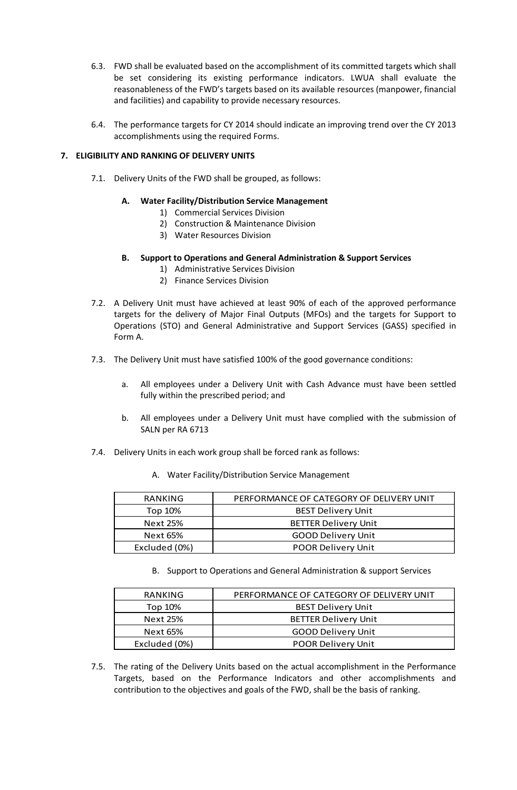- 6.3. FWD shall be evaluated based on the accomplishment of its committed targets which shall be set considering its existing performance indicators. LWUA shall evaluate the reasonableness of the FWD's targets based on its available resources (manpower, financial and facilities) and capability to provide necessary resources.
- 6.4. The performance targets for CY 2014 should indicate an improving trend over the CY 2013 accomplishments using the required Forms.

## **7. ELIGIBILITY AND RANKING OF DELIVERY UNITS**

7.1. Delivery Units of the FWD shall be grouped, as follows:

# **A. Water Facility/Distribution Service Management**

- 1) Commercial Services Division
- 2) Construction & Maintenance Division
- 3) Water Resources Division

## **B. Support to Operations and General Administration & Support Services**

- 1) Administrative Services Division
- 2) Finance Services Division
- 7.2. A Delivery Unit must have achieved at least 90% of each of the approved performance targets for the delivery of Major Final Outputs (MFOs) and the targets for Support to Operations (STO) and General Administrative and Support Services (GASS) specified in Form A.
- 7.3. The Delivery Unit must have satisfied 100% of the good governance conditions:
	- a. All employees under a Delivery Unit with Cash Advance must have been settled fully within the prescribed period; and
	- b. All employees under a Delivery Unit must have complied with the submission of SALN per RA 6713
- 7.4. Delivery Units in each work group shall be forced rank as follows:
	- A. Water Facility/Distribution Service Management

| RANKING                                    | PERFORMANCE OF CATEGORY OF DELIVERY UNIT |  |  |
|--------------------------------------------|------------------------------------------|--|--|
| Top 10%                                    | <b>BEST Delivery Unit</b>                |  |  |
| Next 25%                                   | <b>BETTER Delivery Unit</b>              |  |  |
| Next 65%                                   | <b>GOOD Delivery Unit</b>                |  |  |
| Excluded (0%)<br><b>POOR Delivery Unit</b> |                                          |  |  |

B. Support to Operations and General Administration & support Services

| RANKING       | PERFORMANCE OF CATEGORY OF DELIVERY UNIT |  |  |
|---------------|------------------------------------------|--|--|
| Top 10%       | <b>BEST Delivery Unit</b>                |  |  |
| Next 25%      | <b>BETTER Delivery Unit</b>              |  |  |
| Next 65%      | <b>GOOD Delivery Unit</b>                |  |  |
| Excluded (0%) | <b>POOR Delivery Unit</b>                |  |  |

7.5. The rating of the Delivery Units based on the actual accomplishment in the Performance Targets, based on the Performance Indicators and other accomplishments and contribution to the objectives and goals of the FWD, shall be the basis of ranking.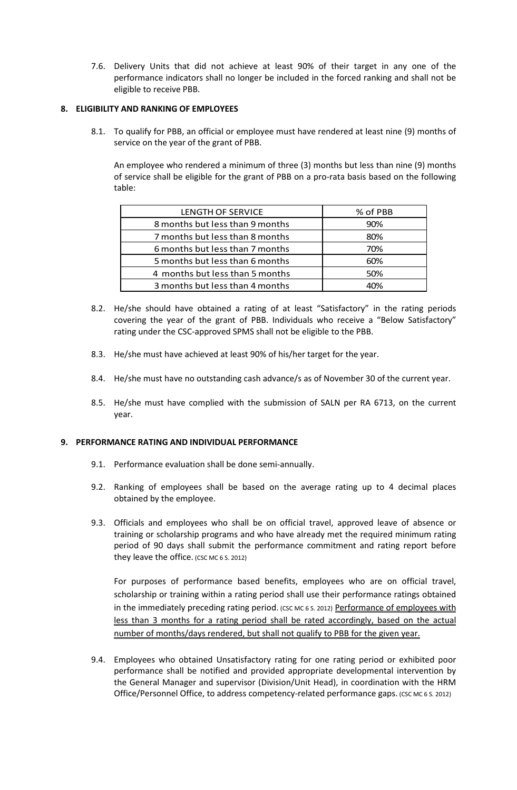7.6. Delivery Units that did not achieve at least 90% of their target in any one of the performance indicators shall no longer be included in the forced ranking and shall not be eligible to receive PBB.

## **8. ELIGIBILITY AND RANKING OF EMPLOYEES**

8.1. To qualify for PBB, an official or employee must have rendered at least nine (9) months of service on the year of the grant of PBB.

An employee who rendered a minimum of three (3) months but less than nine (9) months of service shall be eligible for the grant of PBB on a pro-rata basis based on the following table:

| % of PBB |
|----------|
| 90%      |
| 80%      |
| 70%      |
| 60%      |
| 50%      |
| 40%      |
|          |

- 8.2. He/she should have obtained a rating of at least "Satisfactory" in the rating periods covering the year of the grant of PBB. Individuals who receive a "Below Satisfactory" rating under the CSC-approved SPMS shall not be eligible to the PBB.
- 8.3. He/she must have achieved at least 90% of his/her target for the year.
- 8.4. He/she must have no outstanding cash advance/s as of November 30 of the current year.
- 8.5. He/she must have complied with the submission of SALN per RA 6713, on the current year.

## **9. PERFORMANCE RATING AND INDIVIDUAL PERFORMANCE**

- 9.1. Performance evaluation shall be done semi-annually.
- 9.2. Ranking of employees shall be based on the average rating up to 4 decimal places obtained by the employee.
- 9.3. Officials and employees who shall be on official travel, approved leave of absence or training or scholarship programs and who have already met the required minimum rating period of 90 days shall submit the performance commitment and rating report before they leave the office. (CSC MC  $6$  S. 2012)

For purposes of performance based benefits, employees who are on official travel, scholarship or training within a rating period shall use their performance ratings obtained in the immediately preceding rating period. (CSC MC 6 S. 2012) Performance of employees with less than 3 months for a rating period shall be rated accordingly, based on the actual number of months/days rendered, but shall not qualify to PBB for the given year.

9.4. Employees who obtained Unsatisfactory rating for one rating period or exhibited poor performance shall be notified and provided appropriate developmental intervention by the General Manager and supervisor (Division/Unit Head), in coordination with the HRM Office/Personnel Office, to address competency-related performance gaps. (CSC MC 6 S. 2012)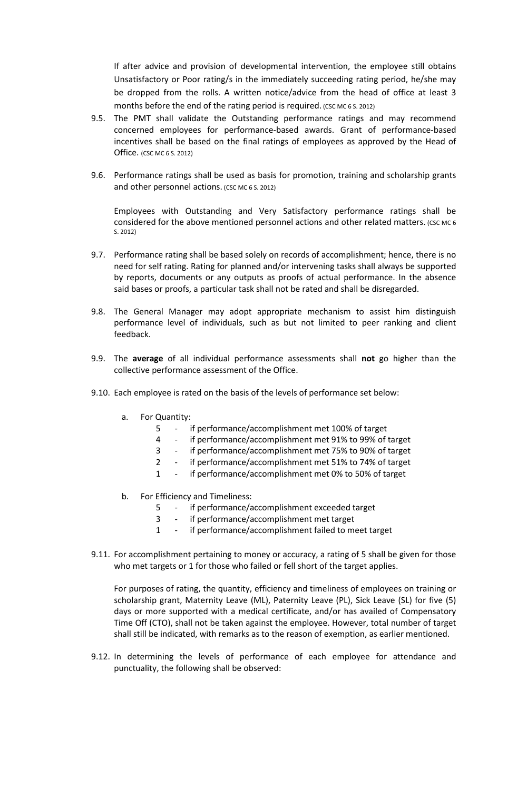If after advice and provision of developmental intervention, the employee still obtains Unsatisfactory or Poor rating/s in the immediately succeeding rating period, he/she may be dropped from the rolls. A written notice/advice from the head of office at least 3 months before the end of the rating period is required. (CSC MC 6 S. 2012)

- 9.5. The PMT shall validate the Outstanding performance ratings and may recommend concerned employees for performance-based awards. Grant of performance-based incentives shall be based on the final ratings of employees as approved by the Head of Office. (CSC MC 6 S. 2012)
- 9.6. Performance ratings shall be used as basis for promotion, training and scholarship grants and other personnel actions. (CSC MC 6 S. 2012)

Employees with Outstanding and Very Satisfactory performance ratings shall be considered for the above mentioned personnel actions and other related matters. (CSC MC 6 S. 2012)

- 9.7. Performance rating shall be based solely on records of accomplishment; hence, there is no need for self rating. Rating for planned and/or intervening tasks shall always be supported by reports, documents or any outputs as proofs of actual performance. In the absence said bases or proofs, a particular task shall not be rated and shall be disregarded.
- 9.8. The General Manager may adopt appropriate mechanism to assist him distinguish performance level of individuals, such as but not limited to peer ranking and client feedback.
- 9.9. The **average** of all individual performance assessments shall **not** go higher than the collective performance assessment of the Office.
- 9.10. Each employee is rated on the basis of the levels of performance set below:
	- a. For Quantity:
		- 5 if performance/accomplishment met 100% of target
		- 4 if performance/accomplishment met 91% to 99% of target
		- 3 if performance/accomplishment met 75% to 90% of target
		- 2 if performance/accomplishment met 51% to 74% of target
		- 1 if performance/accomplishment met 0% to 50% of target
	- b. For Efficiency and Timeliness:
		- 5 if performance/accomplishment exceeded target
		- 3 if performance/accomplishment met target
		- 1 if performance/accomplishment failed to meet target
- 9.11. For accomplishment pertaining to money or accuracy, a rating of 5 shall be given for those who met targets or 1 for those who failed or fell short of the target applies.

For purposes of rating, the quantity, efficiency and timeliness of employees on training or scholarship grant, Maternity Leave (ML), Paternity Leave (PL), Sick Leave (SL) for five (5) days or more supported with a medical certificate, and/or has availed of Compensatory Time Off (CTO), shall not be taken against the employee. However, total number of target shall still be indicated, with remarks as to the reason of exemption, as earlier mentioned.

9.12. In determining the levels of performance of each employee for attendance and punctuality, the following shall be observed: